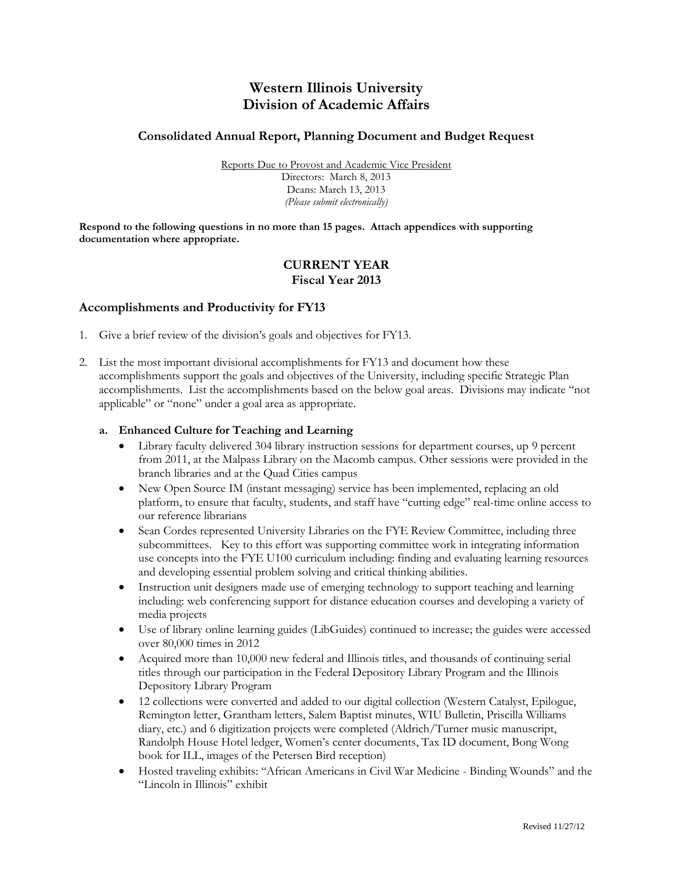# **Western Illinois University Division of Academic Affairs**

# **Consolidated Annual Report, Planning Document and Budget Request**

Reports Due to Provost and Academic Vice President Directors: March 8, 2013 Deans: March 13, 2013 *(Please submit electronically)*

**Respond to the following questions in no more than 15 pages. Attach appendices with supporting documentation where appropriate.**

# **CURRENT YEAR Fiscal Year 2013**

### **Accomplishments and Productivity for FY13**

- 1. Give a brief review of the division's goals and objectives for FY13.
- 2. List the most important divisional accomplishments for FY13 and document how these accomplishments support the goals and objectives of the University, including specific Strategic Plan accomplishments. List the accomplishments based on the below goal areas. Divisions may indicate "not applicable" or "none" under a goal area as appropriate.

#### **a. Enhanced Culture for Teaching and Learning**

- Library faculty delivered 304 library instruction sessions for department courses, up 9 percent from 2011, at the Malpass Library on the Macomb campus. Other sessions were provided in the branch libraries and at the Quad Cities campus
- New Open Source IM (instant messaging) service has been implemented, replacing an old platform, to ensure that faculty, students, and staff have "cutting edge" real-time online access to our reference librarians
- Sean Cordes represented University Libraries on the FYE Review Committee, including three subcommittees. Key to this effort was supporting committee work in integrating information use concepts into the FYE U100 curriculum including: finding and evaluating learning resources and developing essential problem solving and critical thinking abilities.
- Instruction unit designers made use of emerging technology to support teaching and learning including: web conferencing support for distance education courses and developing a variety of media projects
- Use of library online learning guides (LibGuides) continued to increase; the guides were accessed over 80,000 times in 2012
- Acquired more than 10,000 new federal and Illinois titles, and thousands of continuing serial titles through our participation in the Federal Depository Library Program and the Illinois Depository Library Program
- 12 collections were converted and added to our digital collection (Western Catalyst, Epilogue, Remington letter, Grantham letters, Salem Baptist minutes, WIU Bulletin, Priscilla Williams diary, etc.) and 6 digitization projects were completed (Aldrich/Turner music manuscript, Randolph House Hotel ledger, Women's center documents, Tax ID document, Bong Wong book for ILL, images of the Petersen Bird reception)
- Hosted traveling exhibits: "African Americans in Civil War Medicine Binding Wounds" and the "Lincoln in Illinois" exhibit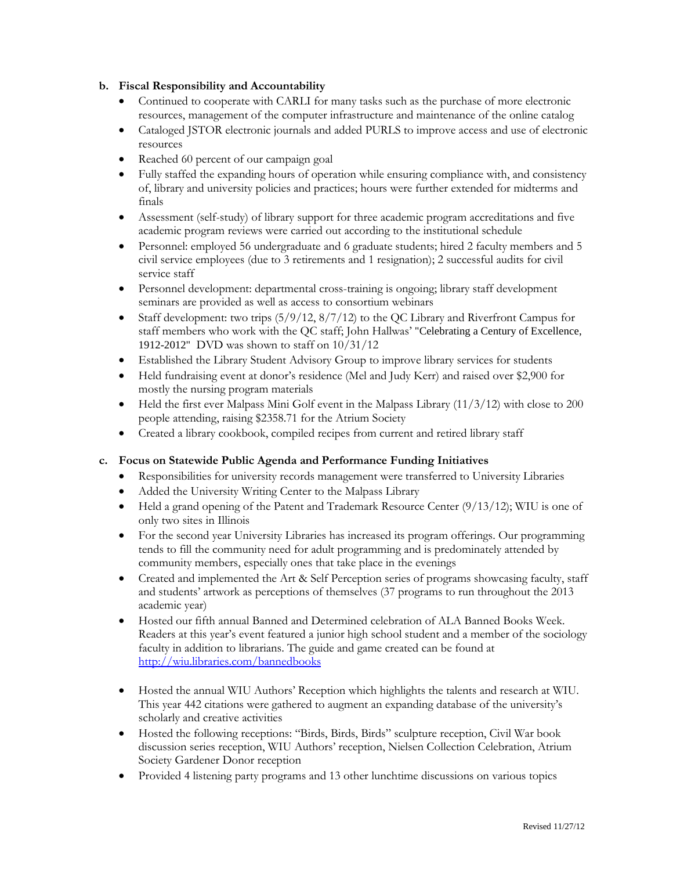# **b. Fiscal Responsibility and Accountability**

- Continued to cooperate with CARLI for many tasks such as the purchase of more electronic resources, management of the computer infrastructure and maintenance of the online catalog
- Cataloged JSTOR electronic journals and added PURLS to improve access and use of electronic resources
- Reached 60 percent of our campaign goal
- Fully staffed the expanding hours of operation while ensuring compliance with, and consistency of, library and university policies and practices; hours were further extended for midterms and finals
- Assessment (self-study) of library support for three academic program accreditations and five academic program reviews were carried out according to the institutional schedule
- Personnel: employed 56 undergraduate and 6 graduate students; hired 2 faculty members and 5 civil service employees (due to 3 retirements and 1 resignation); 2 successful audits for civil service staff
- Personnel development: departmental cross-training is ongoing; library staff development seminars are provided as well as access to consortium webinars
- Staff development: two trips  $(5/9/12, 8/7/12)$  to the QC Library and Riverfront Campus for staff members who work with the QC staff; John Hallwas' "Celebrating a Century of Excellence, 1912-2012" DVD was shown to staff on 10/31/12
- Established the Library Student Advisory Group to improve library services for students
- Held fundraising event at donor's residence (Mel and Judy Kerr) and raised over \$2,900 for mostly the nursing program materials
- $\bullet$  Held the first ever Malpass Mini Golf event in the Malpass Library (11/3/12) with close to 200 people attending, raising \$2358.71 for the Atrium Society
- Created a library cookbook, compiled recipes from current and retired library staff

# **c. Focus on Statewide Public Agenda and Performance Funding Initiatives**

- Responsibilities for university records management were transferred to University Libraries
- Added the University Writing Center to the Malpass Library
- Held a grand opening of the Patent and Trademark Resource Center (9/13/12); WIU is one of only two sites in Illinois
- For the second year University Libraries has increased its program offerings. Our programming tends to fill the community need for adult programming and is predominately attended by community members, especially ones that take place in the evenings
- Created and implemented the Art & Self Perception series of programs showcasing faculty, staff and students' artwork as perceptions of themselves (37 programs to run throughout the 2013 academic year)
- Hosted our fifth annual Banned and Determined celebration of ALA Banned Books Week. Readers at this year's event featured a junior high school student and a member of the sociology faculty in addition to librarians. The guide and game created can be found at <http://wiu.libraries.com/bannedbooks>
- Hosted the annual WIU Authors' Reception which highlights the talents and research at WIU. This year 442 citations were gathered to augment an expanding database of the university's scholarly and creative activities
- Hosted the following receptions: "Birds, Birds, Birds" sculpture reception, Civil War book discussion series reception, WIU Authors' reception, Nielsen Collection Celebration, Atrium Society Gardener Donor reception
- Provided 4 listening party programs and 13 other lunchtime discussions on various topics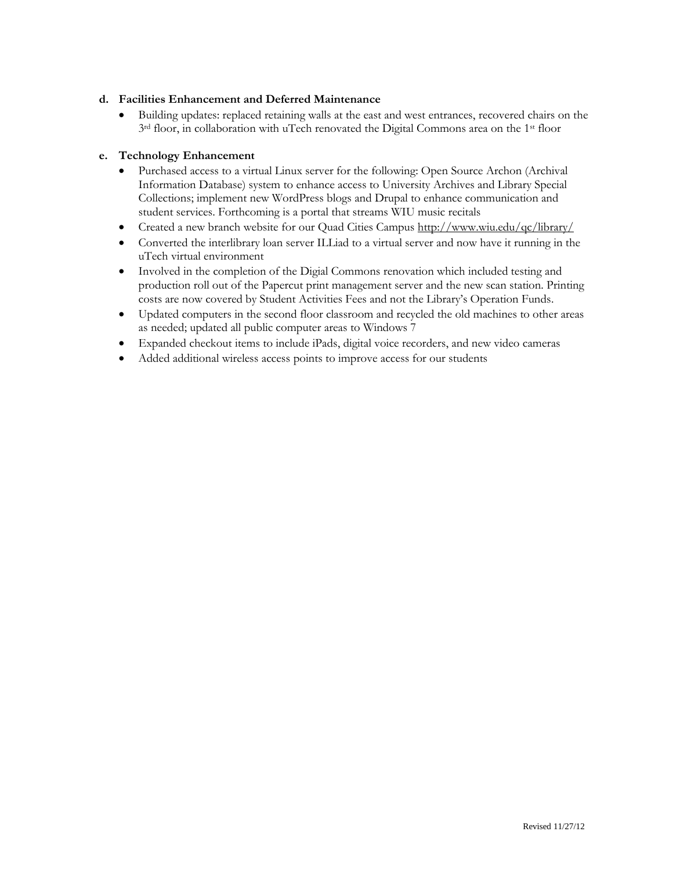# **d. Facilities Enhancement and Deferred Maintenance**

 Building updates: replaced retaining walls at the east and west entrances, recovered chairs on the  $3<sup>rd</sup>$  floor, in collaboration with uTech renovated the Digital Commons area on the 1<sup>st</sup> floor

### **e. Technology Enhancement**

- Purchased access to a virtual Linux server for the following: Open Source Archon (Archival Information Database) system to enhance access to University Archives and Library Special Collections; implement new WordPress blogs and Drupal to enhance communication and student services. Forthcoming is a portal that streams WIU music recitals
- Created a new branch website for our Quad Cities Campus <http://www.wiu.edu/qc/library/>
- Converted the interlibrary loan server ILLiad to a virtual server and now have it running in the uTech virtual environment
- Involved in the completion of the Digial Commons renovation which included testing and production roll out of the Papercut print management server and the new scan station. Printing costs are now covered by Student Activities Fees and not the Library's Operation Funds.
- Updated computers in the second floor classroom and recycled the old machines to other areas as needed; updated all public computer areas to Windows 7
- Expanded checkout items to include iPads, digital voice recorders, and new video cameras
- Added additional wireless access points to improve access for our students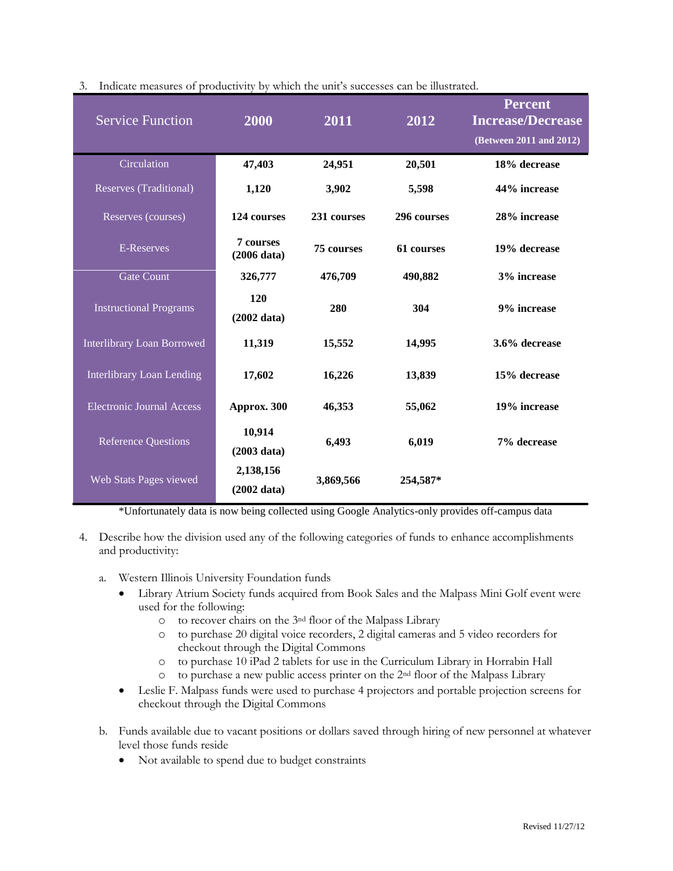| <b>Service Function</b>           | 2000                               | 2011              | 2012        | <b>Percent</b><br><b>Increase/Decrease</b><br>(Between 2011 and 2012) |
|-----------------------------------|------------------------------------|-------------------|-------------|-----------------------------------------------------------------------|
| Circulation                       | 47,403                             | 24,951            | 20,501      | 18% decrease                                                          |
| Reserves (Traditional)            | 1,120                              | 3,902             | 5,598       | 44% increase                                                          |
| Reserves (courses)                | 124 courses                        | 231 courses       | 296 courses | 28% increase                                                          |
| E-Reserves                        | <b>7 courses</b><br>(2006 data)    | <b>75 courses</b> | 61 courses  | 19% decrease                                                          |
| <b>Gate Count</b>                 | 326,777                            | 476,709           | 490,882     | 3% increase                                                           |
| <b>Instructional Programs</b>     | 120<br>$(2002 \text{ data})$       | 280               | 304         | 9% increase                                                           |
| <b>Interlibrary Loan Borrowed</b> | 11,319                             | 15,552            | 14,995      | 3.6% decrease                                                         |
| <b>Interlibrary Loan Lending</b>  | 17,602                             | 16,226            | 13,839      | 15% decrease                                                          |
| <b>Electronic Journal Access</b>  | Approx. 300                        | 46,353            | 55,062      | 19% increase                                                          |
| <b>Reference Questions</b>        | 10,914<br>(2003 data)              | 6,493             | 6,019       | 7% decrease                                                           |
| Web Stats Pages viewed            | 2,138,156<br>$(2002 \text{ data})$ | 3,869,566         | 254,587*    |                                                                       |

| 3. Indicate measures of productivity by which the unit's successes can be illustrated. |
|----------------------------------------------------------------------------------------|
|----------------------------------------------------------------------------------------|

\*Unfortunately data is now being collected using Google Analytics-only provides off-campus data

- 4. Describe how the division used any of the following categories of funds to enhance accomplishments and productivity:
	- a. Western Illinois University Foundation funds
		- Library Atrium Society funds acquired from Book Sales and the Malpass Mini Golf event were used for the following:
			- o to recover chairs on the 3nd floor of the Malpass Library
			- o to purchase 20 digital voice recorders, 2 digital cameras and 5 video recorders for checkout through the Digital Commons
			- o to purchase 10 iPad 2 tablets for use in the Curriculum Library in Horrabin Hall
			- o to purchase a new public access printer on the 2nd floor of the Malpass Library
		- Leslie F. Malpass funds were used to purchase 4 projectors and portable projection screens for checkout through the Digital Commons
	- b. Funds available due to vacant positions or dollars saved through hiring of new personnel at whatever level those funds reside
		- Not available to spend due to budget constraints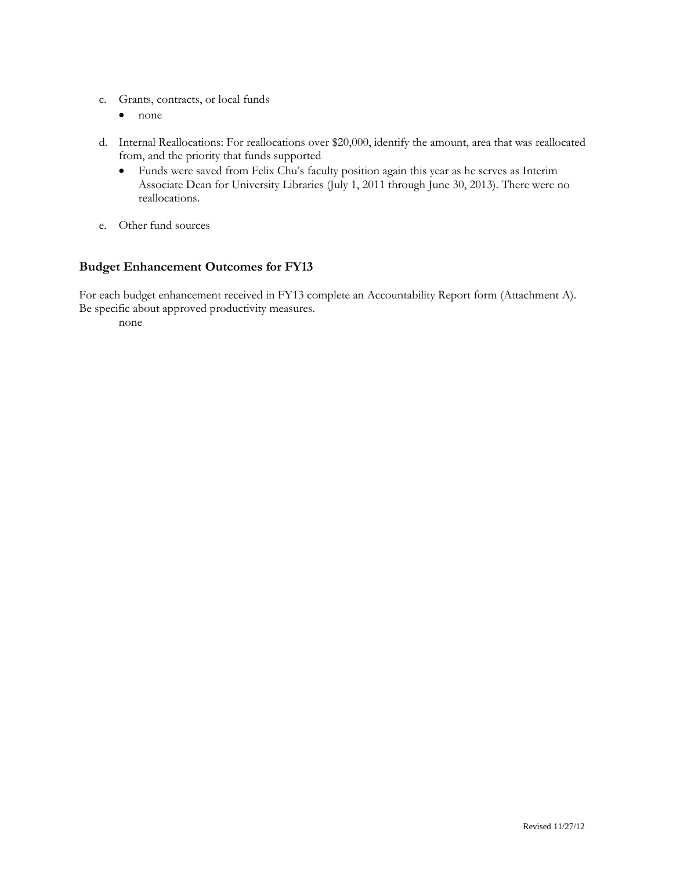- c. Grants, contracts, or local funds
	- none
- d. Internal Reallocations: For reallocations over \$20,000, identify the amount, area that was reallocated from, and the priority that funds supported
	- Funds were saved from Felix Chu's faculty position again this year as he serves as Interim Associate Dean for University Libraries (July 1, 2011 through June 30, 2013). There were no reallocations.
- e. Other fund sources

# **Budget Enhancement Outcomes for FY13**

For each budget enhancement received in FY13 complete an Accountability Report form (Attachment A). Be specific about approved productivity measures.

none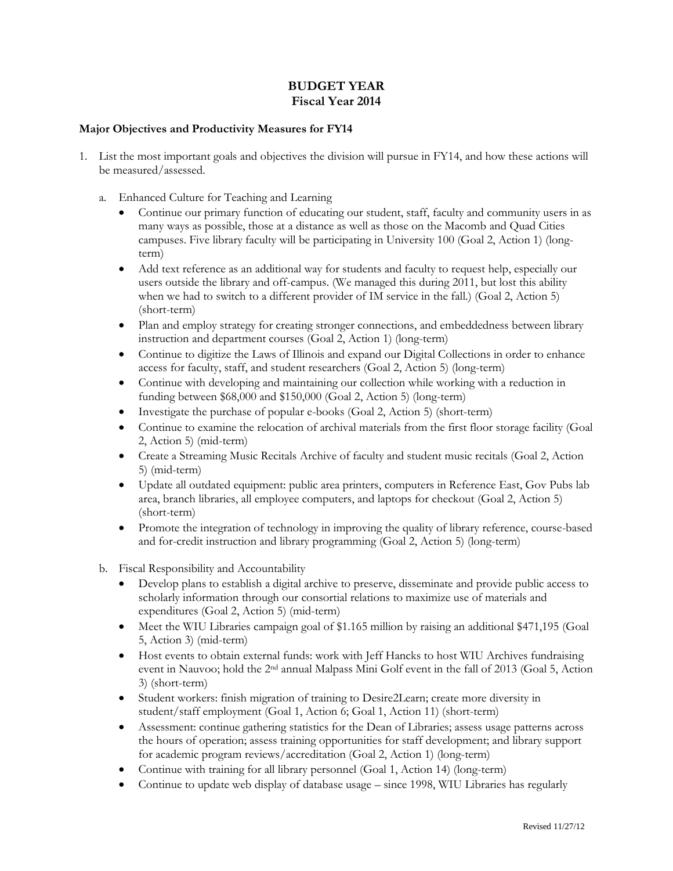# **BUDGET YEAR Fiscal Year 2014**

### **Major Objectives and Productivity Measures for FY14**

- 1. List the most important goals and objectives the division will pursue in FY14, and how these actions will be measured/assessed.
	- a. Enhanced Culture for Teaching and Learning
		- Continue our primary function of educating our student, staff, faculty and community users in as many ways as possible, those at a distance as well as those on the Macomb and Quad Cities campuses. Five library faculty will be participating in University 100 (Goal 2, Action 1) (longterm)
		- Add text reference as an additional way for students and faculty to request help, especially our users outside the library and off-campus. (We managed this during 2011, but lost this ability when we had to switch to a different provider of IM service in the fall.) (Goal 2, Action 5) (short-term)
		- Plan and employ strategy for creating stronger connections, and embeddedness between library instruction and department courses (Goal 2, Action 1) (long-term)
		- Continue to digitize the Laws of Illinois and expand our Digital Collections in order to enhance access for faculty, staff, and student researchers (Goal 2, Action 5) (long-term)
		- Continue with developing and maintaining our collection while working with a reduction in funding between \$68,000 and \$150,000 (Goal 2, Action 5) (long-term)
		- Investigate the purchase of popular e-books (Goal 2, Action 5) (short-term)
		- Continue to examine the relocation of archival materials from the first floor storage facility (Goal 2, Action 5) (mid-term)
		- Create a Streaming Music Recitals Archive of faculty and student music recitals (Goal 2, Action 5) (mid-term)
		- Update all outdated equipment: public area printers, computers in Reference East, Gov Pubs lab area, branch libraries, all employee computers, and laptops for checkout (Goal 2, Action 5) (short-term)
		- Promote the integration of technology in improving the quality of library reference, course-based and for-credit instruction and library programming (Goal 2, Action 5) (long-term)
	- b. Fiscal Responsibility and Accountability
		- Develop plans to establish a digital archive to preserve, disseminate and provide public access to scholarly information through our consortial relations to maximize use of materials and expenditures (Goal 2, Action 5) (mid-term)
		- Meet the WIU Libraries campaign goal of \$1.165 million by raising an additional \$471,195 (Goal 5, Action 3) (mid-term)
		- Host events to obtain external funds: work with Jeff Hancks to host WIU Archives fundraising event in Nauvoo; hold the 2nd annual Malpass Mini Golf event in the fall of 2013 (Goal 5, Action 3) (short-term)
		- Student workers: finish migration of training to Desire2Learn; create more diversity in student/staff employment (Goal 1, Action 6; Goal 1, Action 11) (short-term)
		- Assessment: continue gathering statistics for the Dean of Libraries; assess usage patterns across the hours of operation; assess training opportunities for staff development; and library support for academic program reviews/accreditation (Goal 2, Action 1) (long-term)
		- Continue with training for all library personnel (Goal 1, Action 14) (long-term)
		- Continue to update web display of database usage since 1998, WIU Libraries has regularly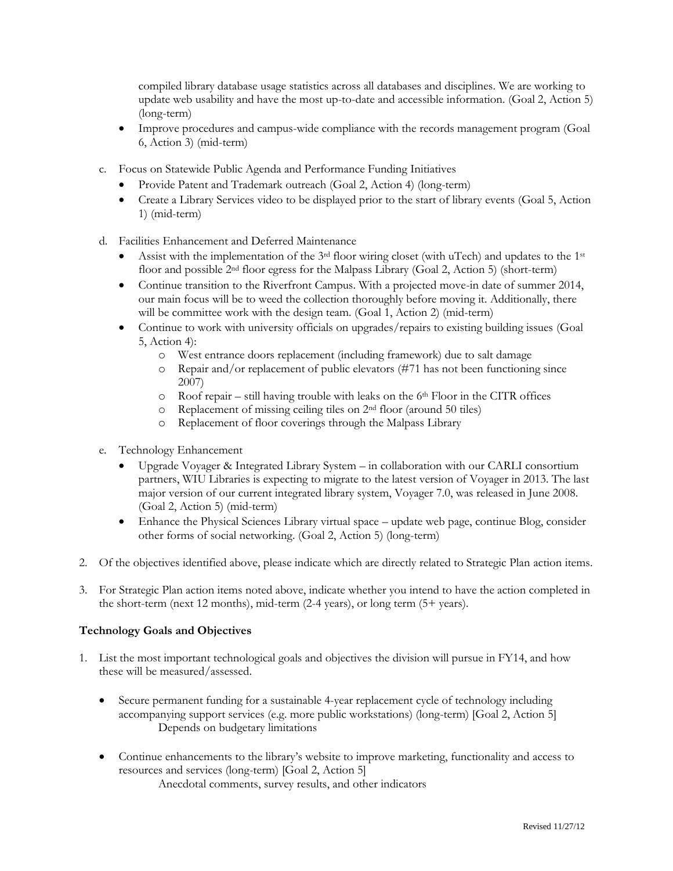compiled library database usage statistics across all databases and disciplines. We are working to update web usability and have the most up-to-date and accessible information. (Goal 2, Action 5) (long-term)

- Improve procedures and campus-wide compliance with the records management program (Goal 6, Action 3) (mid-term)
- c. Focus on Statewide Public Agenda and Performance Funding Initiatives
	- Provide Patent and Trademark outreach (Goal 2, Action 4) (long-term)
	- Create a Library Services video to be displayed prior to the start of library events (Goal 5, Action 1) (mid-term)
- d. Facilities Enhancement and Deferred Maintenance
	- Assist with the implementation of the 3<sup>rd</sup> floor wiring closet (with uTech) and updates to the 1<sup>st</sup> floor and possible 2nd floor egress for the Malpass Library (Goal 2, Action 5) (short-term)
	- Continue transition to the Riverfront Campus. With a projected move-in date of summer 2014, our main focus will be to weed the collection thoroughly before moving it. Additionally, there will be committee work with the design team. (Goal 1, Action 2) (mid-term)
	- Continue to work with university officials on upgrades/repairs to existing building issues (Goal 5, Action 4):
		- o West entrance doors replacement (including framework) due to salt damage
		- o Repair and/or replacement of public elevators (#71 has not been functioning since 2007)
		- $\circ$  Roof repair still having trouble with leaks on the 6<sup>th</sup> Floor in the CITR offices
		- o Replacement of missing ceiling tiles on 2nd floor (around 50 tiles)
		- o Replacement of floor coverings through the Malpass Library
- e. Technology Enhancement
	- Upgrade Voyager & Integrated Library System in collaboration with our CARLI consortium partners, WIU Libraries is expecting to migrate to the latest version of Voyager in 2013. The last major version of our current integrated library system, Voyager 7.0, was released in June 2008. (Goal 2, Action 5) (mid-term)
	- Enhance the Physical Sciences Library virtual space update web page, continue Blog, consider other forms of social networking. (Goal 2, Action 5) (long-term)
- 2. Of the objectives identified above, please indicate which are directly related to Strategic Plan action items.
- 3. For Strategic Plan action items noted above, indicate whether you intend to have the action completed in the short-term (next 12 months), mid-term (2-4 years), or long term (5+ years).

#### **Technology Goals and Objectives**

- 1. List the most important technological goals and objectives the division will pursue in FY14, and how these will be measured/assessed.
	- Secure permanent funding for a sustainable 4-year replacement cycle of technology including accompanying support services (e.g. more public workstations) (long-term) [Goal 2, Action 5] Depends on budgetary limitations
	- Continue enhancements to the library's website to improve marketing, functionality and access to resources and services (long-term) [Goal 2, Action 5] Anecdotal comments, survey results, and other indicators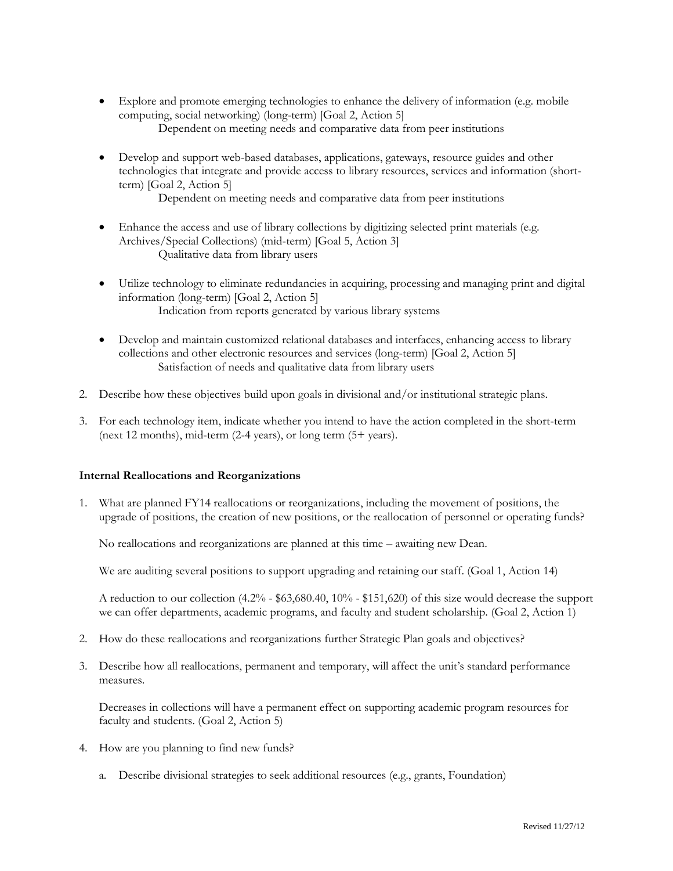- Explore and promote emerging technologies to enhance the delivery of information (e.g. mobile computing, social networking) (long-term) [Goal 2, Action 5] Dependent on meeting needs and comparative data from peer institutions
- Develop and support web-based databases, applications, gateways, resource guides and other technologies that integrate and provide access to library resources, services and information (shortterm) [Goal 2, Action 5]

Dependent on meeting needs and comparative data from peer institutions

- Enhance the access and use of library collections by digitizing selected print materials (e.g. Archives/Special Collections) (mid-term) [Goal 5, Action 3] Qualitative data from library users
- Utilize technology to eliminate redundancies in acquiring, processing and managing print and digital information (long-term) [Goal 2, Action 5] Indication from reports generated by various library systems
- Develop and maintain customized relational databases and interfaces, enhancing access to library collections and other electronic resources and services (long-term) [Goal 2, Action 5] Satisfaction of needs and qualitative data from library users
- 2. Describe how these objectives build upon goals in divisional and/or institutional strategic plans.
- 3. For each technology item, indicate whether you intend to have the action completed in the short-term (next 12 months), mid-term (2-4 years), or long term (5+ years).

#### **Internal Reallocations and Reorganizations**

1. What are planned FY14 reallocations or reorganizations, including the movement of positions, the upgrade of positions, the creation of new positions, or the reallocation of personnel or operating funds?

No reallocations and reorganizations are planned at this time – awaiting new Dean.

We are auditing several positions to support upgrading and retaining our staff. (Goal 1, Action 14)

A reduction to our collection (4.2% - \$63,680.40, 10% - \$151,620) of this size would decrease the support we can offer departments, academic programs, and faculty and student scholarship. (Goal 2, Action 1)

- 2. How do these reallocations and reorganizations further Strategic Plan goals and objectives?
- 3. Describe how all reallocations, permanent and temporary, will affect the unit's standard performance measures.

Decreases in collections will have a permanent effect on supporting academic program resources for faculty and students. (Goal 2, Action 5)

- 4. How are you planning to find new funds?
	- a. Describe divisional strategies to seek additional resources (e.g., grants, Foundation)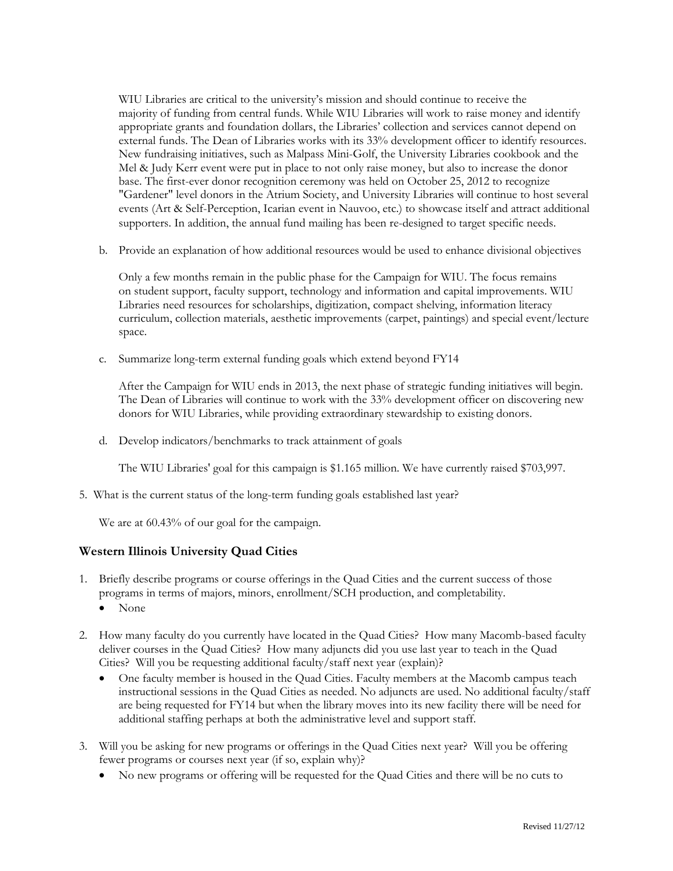WIU Libraries are critical to the university's mission and should continue to receive the majority of funding from central funds. While WIU Libraries will work to raise money and identify appropriate grants and foundation dollars, the Libraries' collection and services cannot depend on external funds. The Dean of Libraries works with its 33% development officer to identify resources. New fundraising initiatives, such as Malpass Mini-Golf, the University Libraries cookbook and the Mel & Judy Kerr event were put in place to not only raise money, but also to increase the donor base. The first-ever donor recognition ceremony was held on October 25, 2012 to recognize "Gardener" level donors in the Atrium Society, and University Libraries will continue to host several events (Art & Self-Perception, Icarian event in Nauvoo, etc.) to showcase itself and attract additional supporters. In addition, the annual fund mailing has been re-designed to target specific needs.

b. Provide an explanation of how additional resources would be used to enhance divisional objectives

Only a few months remain in the public phase for the Campaign for WIU. The focus remains on student support, faculty support, technology and information and capital improvements. WIU Libraries need resources for scholarships, digitization, compact shelving, information literacy curriculum, collection materials, aesthetic improvements (carpet, paintings) and special event/lecture space.

c. Summarize long-term external funding goals which extend beyond FY14

After the Campaign for WIU ends in 2013, the next phase of strategic funding initiatives will begin. The Dean of Libraries will continue to work with the 33% development officer on discovering new donors for WIU Libraries, while providing extraordinary stewardship to existing donors.

d. Develop indicators/benchmarks to track attainment of goals

The WIU Libraries' goal for this campaign is \$1.165 million. We have currently raised \$703,997.

5. What is the current status of the long-term funding goals established last year?

We are at  $60.43\%$  of our goal for the campaign.

# **Western Illinois University Quad Cities**

- 1. Briefly describe programs or course offerings in the Quad Cities and the current success of those programs in terms of majors, minors, enrollment/SCH production, and completability.
	- None
- 2. How many faculty do you currently have located in the Quad Cities? How many Macomb-based faculty deliver courses in the Quad Cities? How many adjuncts did you use last year to teach in the Quad Cities? Will you be requesting additional faculty/staff next year (explain)?
	- One faculty member is housed in the Quad Cities. Faculty members at the Macomb campus teach instructional sessions in the Quad Cities as needed. No adjuncts are used. No additional faculty/staff are being requested for FY14 but when the library moves into its new facility there will be need for additional staffing perhaps at both the administrative level and support staff.
- 3. Will you be asking for new programs or offerings in the Quad Cities next year? Will you be offering fewer programs or courses next year (if so, explain why)?
	- No new programs or offering will be requested for the Quad Cities and there will be no cuts to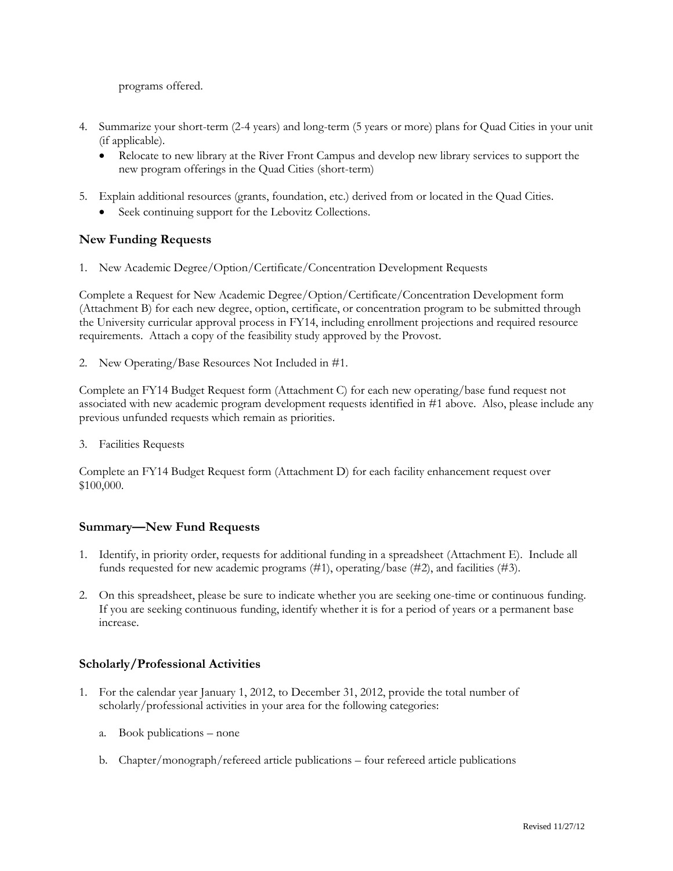programs offered.

- 4. Summarize your short-term (2-4 years) and long-term (5 years or more) plans for Quad Cities in your unit (if applicable).
	- Relocate to new library at the River Front Campus and develop new library services to support the new program offerings in the Quad Cities (short-term)
- 5. Explain additional resources (grants, foundation, etc.) derived from or located in the Quad Cities.
	- Seek continuing support for the Lebovitz Collections.

# **New Funding Requests**

1. New Academic Degree/Option/Certificate/Concentration Development Requests

Complete a Request for New Academic Degree/Option/Certificate/Concentration Development form (Attachment B) for each new degree, option, certificate, or concentration program to be submitted through the University curricular approval process in FY14, including enrollment projections and required resource requirements. Attach a copy of the feasibility study approved by the Provost.

2. New Operating/Base Resources Not Included in #1.

Complete an FY14 Budget Request form (Attachment C) for each new operating/base fund request not associated with new academic program development requests identified in #1 above. Also, please include any previous unfunded requests which remain as priorities.

3. Facilities Requests

Complete an FY14 Budget Request form (Attachment D) for each facility enhancement request over \$100,000.

# **Summary—New Fund Requests**

- 1. Identify, in priority order, requests for additional funding in a spreadsheet (Attachment E). Include all funds requested for new academic programs (#1), operating/base (#2), and facilities (#3).
- 2. On this spreadsheet, please be sure to indicate whether you are seeking one-time or continuous funding. If you are seeking continuous funding, identify whether it is for a period of years or a permanent base increase.

# **Scholarly/Professional Activities**

- 1. For the calendar year January 1, 2012, to December 31, 2012, provide the total number of scholarly/professional activities in your area for the following categories:
	- a. Book publications none
	- b. Chapter/monograph/refereed article publications four refereed article publications